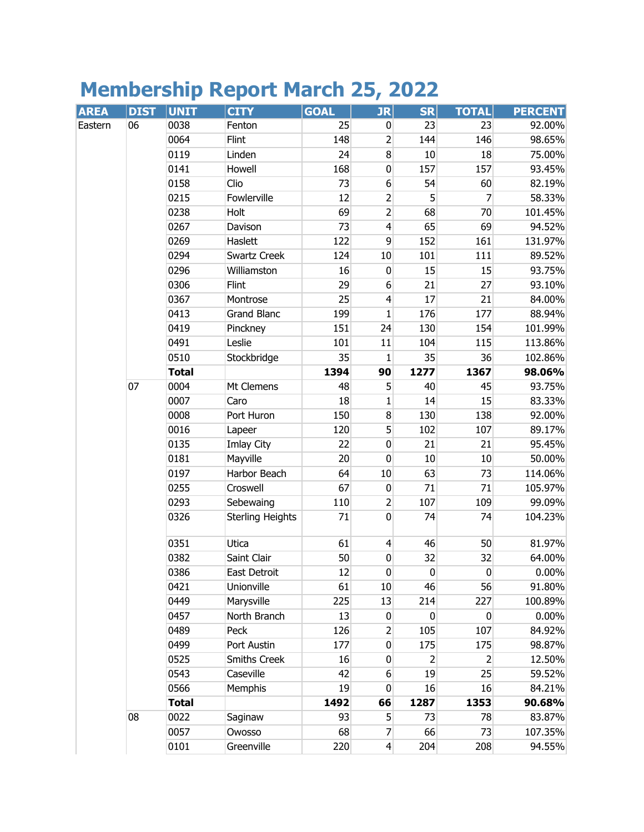## **Membership Report March 25, 2022**

| <b>AREA</b> | <b>DIST</b> | <b>UNIT</b>  | <b>CITY</b>             | <b>GOAL</b> | <b>JR</b>               | <b>SR</b>    | <b>TOTAL</b>   | <b>PERCENT</b> |
|-------------|-------------|--------------|-------------------------|-------------|-------------------------|--------------|----------------|----------------|
| Eastern     | 06          | 0038         | Fenton                  | 25          | $\pmb{0}$               | 23           | 23             | 92.00%         |
|             |             | 0064         | Flint                   | 148         | $\overline{2}$          | 144          | 146            | 98.65%         |
|             |             | 0119         | Linden                  | 24          | $\bf 8$                 | 10           | 18             | 75.00%         |
|             |             | 0141         | Howell                  | 168         | $\mathbf 0$             | 157          | 157            | 93.45%         |
|             |             | 0158         | Clio                    | 73          | $\boldsymbol{6}$        | 54           | 60             | 82.19%         |
|             |             | 0215         | Fowlerville             | 12          | $\overline{2}$          | 5            | 7              | 58.33%         |
|             |             | 0238         | Holt                    | 69          | $\overline{2}$          | 68           | 70             | 101.45%        |
|             |             | 0267         | Davison                 | 73          | $\overline{4}$          | 65           | 69             | 94.52%         |
|             |             | 0269         | Haslett                 | 122         | $\overline{9}$          | 152          | 161            | 131.97%        |
|             |             | 0294         | Swartz Creek            | 124         | 10                      | 101          | 111            | 89.52%         |
|             |             | 0296         | Williamston             | 16          | $\mathbf 0$             | 15           | 15             | 93.75%         |
|             |             | 0306         | Flint                   | 29          | $6\,$                   | 21           | 27             | 93.10%         |
|             |             | 0367         | Montrose                | 25          | $\overline{\mathbf{r}}$ | 17           | 21             | 84.00%         |
|             |             | 0413         | <b>Grand Blanc</b>      | 199         | 1                       | 176          | 177            | 88.94%         |
|             |             | 0419         | Pinckney                | 151         | 24                      | 130          | 154            | 101.99%        |
|             |             | 0491         | Leslie                  | 101         | 11                      | 104          | 115            | 113.86%        |
|             |             | 0510         | Stockbridge             | 35          | 1                       | 35           | 36             | 102.86%        |
|             |             | <b>Total</b> |                         | 1394        | 90                      | 1277         | 1367           | 98.06%         |
|             | 07          | 0004         | Mt Clemens              | 48          | 5                       | 40           | 45             | 93.75%         |
|             |             | 0007         | Caro                    | 18          | 1                       | 14           | 15             | 83.33%         |
|             |             | 0008         | Port Huron              | 150         | 8                       | 130          | 138            | 92.00%         |
|             |             | 0016         | Lapeer                  | 120         | 5                       | 102          | 107            | 89.17%         |
|             |             | 0135         | Imlay City              | 22          | $\pmb{0}$               | 21           | 21             | 95.45%         |
|             |             | 0181         | Mayville                | 20          | $\mathbf 0$             | 10           | 10             | 50.00%         |
|             |             | 0197         | Harbor Beach            | 64          | $10\,$                  | 63           | 73             | 114.06%        |
|             |             | 0255         | Croswell                | 67          | $\pmb{0}$               | 71           | 71             | 105.97%        |
|             |             | 0293         | Sebewaing               | 110         | $\overline{2}$          | 107          | 109            | 99.09%         |
|             |             | 0326         | <b>Sterling Heights</b> | 71          | $\mathbf 0$             | 74           | 74             | 104.23%        |
|             |             | 0351         | Utica                   | 61          | $\overline{4}$          | 46           | 50             | 81.97%         |
|             |             | 0382         | Saint Clair             | 50          | $\boldsymbol{0}$        | 32           | 32             | 64.00%         |
|             |             | 0386         | East Detroit            | 12          | $\boldsymbol{0}$        | $\mathbf{0}$ | $\pmb{0}$      | $0.00\%$       |
|             |             | 0421         | Unionville              | 61          | 10                      | 46           | 56             | 91.80%         |
|             |             | 0449         | Marysville              | 225         | 13                      | 214          | 227            | 100.89%        |
|             |             | 0457         | North Branch            | 13          | $\mathbf 0$             | 0            | 0              | $0.00\%$       |
|             |             | 0489         | Peck                    | 126         | 2                       | 105          | 107            | 84.92%         |
|             |             | 0499         | Port Austin             | 177         | $\mathbf 0$             | 175          | 175            | 98.87%         |
|             |             | 0525         | <b>Smiths Creek</b>     | 16          | 0                       | 2            | $\overline{2}$ | 12.50%         |
|             |             | 0543         | Caseville               | 42          | 6                       | 19           | 25             | 59.52%         |
|             |             | 0566         | Memphis                 | 19          | $\pmb{0}$               | 16           | 16             | 84.21%         |
|             |             | <b>Total</b> |                         | 1492        | 66                      | 1287         | 1353           | 90.68%         |
|             | 08          | 0022         | Saginaw                 | 93          | 5                       | 73           | 78             | 83.87%         |
|             |             | 0057         | Owosso                  | 68          | 7                       | 66           | 73             | 107.35%        |
|             |             | 0101         | Greenville              | 220         | $\overline{4}$          | 204          | 208            | 94.55%         |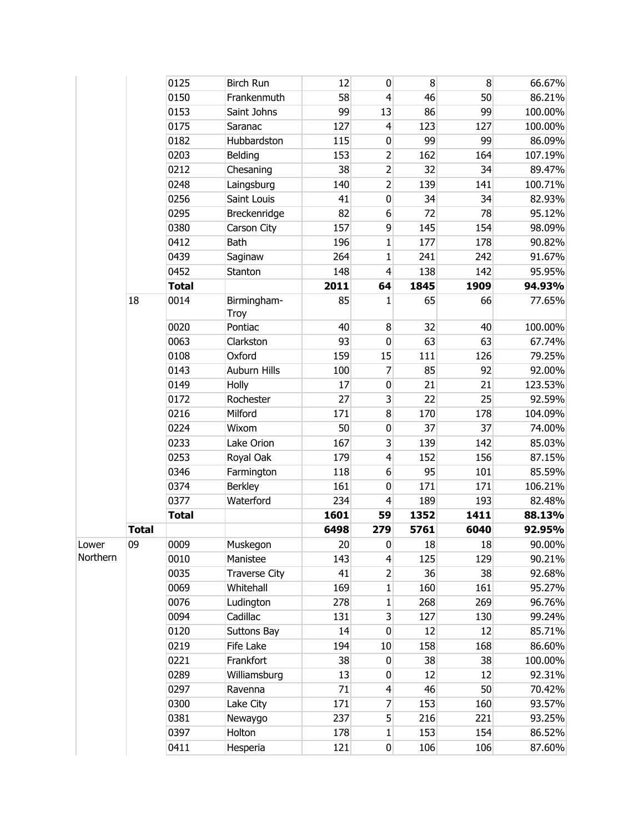|          |              | 0125         | <b>Birch Run</b>     | 12   | $\mathbf 0$    | 8    | 8    | 66.67%  |
|----------|--------------|--------------|----------------------|------|----------------|------|------|---------|
|          |              | 0150         | Frankenmuth          | 58   | 4              | 46   | 50   | 86.21%  |
|          |              | 0153         | Saint Johns          | 99   | 13             | 86   | 99   | 100.00% |
|          |              | 0175         | Saranac              | 127  | 4              | 123  | 127  | 100.00% |
|          |              | 0182         | Hubbardston          | 115  | $\pmb{0}$      | 99   | 99   | 86.09%  |
|          |              | 0203         | Belding              | 153  | $\overline{c}$ | 162  | 164  | 107.19% |
|          |              | 0212         | Chesaning            | 38   | $\overline{2}$ | 32   | 34   | 89.47%  |
|          |              | 0248         | Laingsburg           | 140  | $\overline{2}$ | 139  | 141  | 100.71% |
|          |              | 0256         | Saint Louis          | 41   | $\mathbf 0$    | 34   | 34   | 82.93%  |
|          |              | 0295         | Breckenridge         | 82   | 6              | 72   | 78   | 95.12%  |
|          |              | 0380         | Carson City          | 157  | 9              | 145  | 154  | 98.09%  |
|          |              | 0412         | <b>Bath</b>          | 196  | 1              | 177  | 178  | 90.82%  |
|          |              | 0439         | Saginaw              | 264  | $\mathbf{1}$   | 241  | 242  | 91.67%  |
|          |              | 0452         | Stanton              | 148  | $\overline{4}$ | 138  | 142  | 95.95%  |
|          |              | <b>Total</b> |                      | 2011 | 64             | 1845 | 1909 | 94.93%  |
|          | 18           | 0014         | Birmingham-<br>Troy  | 85   | 1              | 65   | 66   | 77.65%  |
|          |              | 0020         | Pontiac              | 40   | 8              | 32   | 40   | 100.00% |
|          |              | 0063         | Clarkston            | 93   | $\mathbf 0$    | 63   | 63   | 67.74%  |
|          |              | 0108         | Oxford               | 159  | 15             | 111  | 126  | 79.25%  |
|          |              | 0143         | Auburn Hills         | 100  | 7              | 85   | 92   | 92.00%  |
|          |              | 0149         | Holly                | 17   | $\pmb{0}$      | 21   | 21   | 123.53% |
|          |              | 0172         | Rochester            | 27   | 3              | 22   | 25   | 92.59%  |
|          |              | 0216         | Milford              | 171  | 8              | 170  | 178  | 104.09% |
|          |              | 0224         | Wixom                | 50   | $\pmb{0}$      | 37   | 37   | 74.00%  |
|          |              | 0233         | Lake Orion           | 167  | 3              | 139  | 142  | 85.03%  |
|          |              | 0253         | Royal Oak            | 179  | 4              | 152  | 156  | 87.15%  |
|          |              | 0346         | Farmington           | 118  | 6              | 95   | 101  | 85.59%  |
|          |              | 0374         | <b>Berkley</b>       | 161  | $\mathbf 0$    | 171  | 171  | 106.21% |
|          |              | 0377         | Waterford            | 234  | 4              | 189  | 193  | 82.48%  |
|          |              | <b>Total</b> |                      | 1601 | 59             | 1352 | 1411 | 88.13%  |
|          | <b>Total</b> |              |                      | 6498 | 279            | 5761 | 6040 | 92.95%  |
| Lower    | 09           | 0009         | Muskegon             | 20   | 0              | 18   | 18   | 90.00%  |
| Northern |              | 0010         | Manistee             | 143  | $\overline{4}$ | 125  | 129  | 90.21%  |
|          |              | 0035         | <b>Traverse City</b> | 41   | $\overline{2}$ | 36   | 38   | 92.68%  |
|          |              | 0069         | Whitehall            | 169  | 1              | 160  | 161  | 95.27%  |
|          |              | 0076         | Ludington            | 278  | 1              | 268  | 269  | 96.76%  |
|          |              | 0094         | Cadillac             | 131  | $\overline{3}$ | 127  | 130  | 99.24%  |
|          |              | 0120         | Suttons Bay          | 14   | 0              | 12   | 12   | 85.71%  |
|          |              | 0219         | Fife Lake            | 194  | 10             | 158  | 168  | 86.60%  |
|          |              | 0221         | Frankfort            | 38   | $\pmb{0}$      | 38   | 38   | 100.00% |
|          |              | 0289         | Williamsburg         | 13   | 0              | 12   | 12   | 92.31%  |
|          |              | 0297         | Ravenna              | 71   | 4              | 46   | 50   | 70.42%  |
|          |              | 0300         | Lake City            | 171  | 7              | 153  | 160  | 93.57%  |
|          |              | 0381         | Newaygo              | 237  | 5              | 216  | 221  | 93.25%  |
|          |              | 0397         | Holton               | 178  | 1              | 153  | 154  | 86.52%  |
|          |              | 0411         | Hesperia             | 121  | $\pmb{0}$      | 106  | 106  | 87.60%  |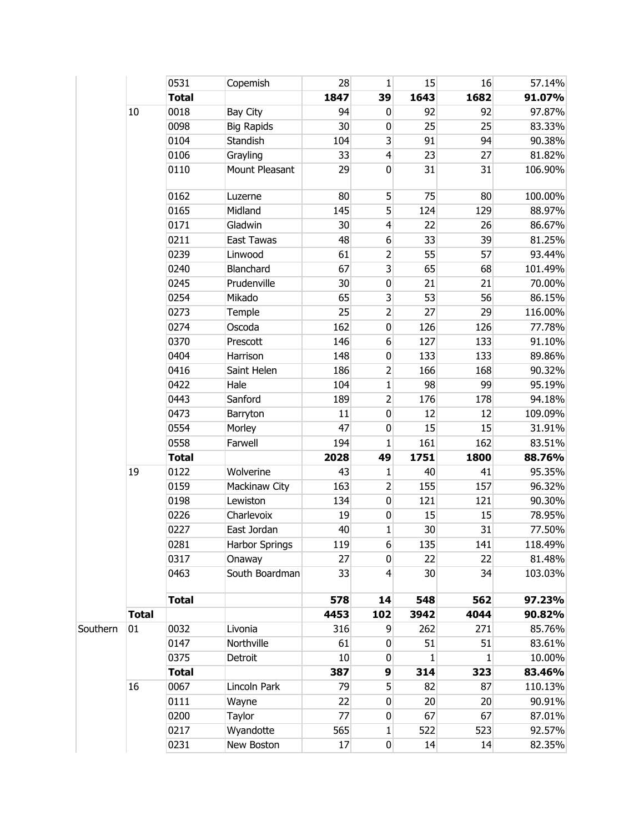|          |              | 0531         | Copemish          | 28   | $\mathbf{1}$            | 15   | 16   | 57.14%  |
|----------|--------------|--------------|-------------------|------|-------------------------|------|------|---------|
|          |              | <b>Total</b> |                   | 1847 | 39                      | 1643 | 1682 | 91.07%  |
|          | $10\,$       | 0018         | Bay City          | 94   | $\pmb{0}$               | 92   | 92   | 97.87%  |
|          |              | 0098         | <b>Big Rapids</b> | 30   | $\pmb{0}$               | 25   | 25   | 83.33%  |
|          |              | 0104         | Standish          | 104  | 3                       | 91   | 94   | 90.38%  |
|          |              | 0106         | Grayling          | 33   | $\overline{4}$          | 23   | 27   | 81.82%  |
|          |              | 0110         | Mount Pleasant    | 29   | $\mathbf 0$             | 31   | 31   | 106.90% |
|          |              | 0162         | Luzerne           | 80   | 5                       | 75   | 80   | 100.00% |
|          |              | 0165         | Midland           | 145  | 5                       | 124  | 129  | 88.97%  |
|          |              | 0171         | Gladwin           | 30   | $\overline{4}$          | 22   | 26   | 86.67%  |
|          |              | 0211         | East Tawas        | 48   | 6                       | 33   | 39   | 81.25%  |
|          |              | 0239         | Linwood           | 61   | $\overline{2}$          | 55   | 57   | 93.44%  |
|          |              | 0240         | Blanchard         | 67   | $\overline{\mathbf{3}}$ | 65   | 68   | 101.49% |
|          |              | 0245         | Prudenville       | 30   | $\pmb{0}$               | 21   | 21   | 70.00%  |
|          |              | 0254         | Mikado            | 65   | 3                       | 53   | 56   | 86.15%  |
|          |              | 0273         | Temple            | 25   | $\overline{2}$          | 27   | 29   | 116.00% |
|          |              | 0274         | Oscoda            | 162  | $\pmb{0}$               | 126  | 126  | 77.78%  |
|          |              | 0370         | Prescott          | 146  | $\boldsymbol{6}$        | 127  | 133  | 91.10%  |
|          |              | 0404         | Harrison          | 148  | $\pmb{0}$               | 133  | 133  | 89.86%  |
|          |              | 0416         | Saint Helen       | 186  | $\overline{2}$          | 166  | 168  | 90.32%  |
|          |              | 0422         | Hale              | 104  | $\mathbf{1}$            | 98   | 99   | 95.19%  |
|          |              | 0443         | Sanford           | 189  | $\overline{2}$          | 176  | 178  | 94.18%  |
|          |              | 0473         | Barryton          | 11   | $\pmb{0}$               | 12   | 12   | 109.09% |
|          |              | 0554         | Morley            | 47   | $\pmb{0}$               | 15   | 15   | 31.91%  |
|          |              | 0558         | Farwell           | 194  | 1                       | 161  | 162  | 83.51%  |
|          |              | <b>Total</b> |                   | 2028 | 49                      | 1751 | 1800 | 88.76%  |
|          | 19           | 0122         | Wolverine         | 43   | $\mathbf 1$             | 40   | 41   | 95.35%  |
|          |              | 0159         | Mackinaw City     | 163  | $\overline{2}$          | 155  | 157  | 96.32%  |
|          |              | 0198         | Lewiston          | 134  | $\pmb{0}$               | 121  | 121  | 90.30%  |
|          |              | 0226         | Charlevoix        | 19   | $\pmb{0}$               | 15   | 15   | 78.95%  |
|          |              | 0227         | East Jordan       | 40   | $\mathbf{1}$            | 30   | 31   | 77.50%  |
|          |              | 0281         | Harbor Springs    | 119  | $6 \overline{6}$        | 135  | 141  | 118.49% |
|          |              | 0317         | Onaway            | 27   | 0                       | 22   | 22   | 81.48%  |
|          |              | 0463         | South Boardman    | 33   | $\overline{4}$          | 30   | 34   | 103.03% |
|          |              | <b>Total</b> |                   | 578  | 14                      | 548  | 562  | 97.23%  |
|          | <b>Total</b> |              |                   | 4453 | 102                     | 3942 | 4044 | 90.82%  |
| Southern | 01           | 0032         | Livonia           | 316  | 9                       | 262  | 271  | 85.76%  |
|          |              | 0147         | Northville        | 61   | $\pmb{0}$               | 51   | 51   | 83.61%  |
|          |              | 0375         | Detroit           | 10   | 0                       | 1    | 1    | 10.00%  |
|          |              | <b>Total</b> |                   | 387  | 9                       | 314  | 323  | 83.46%  |
|          | 16           | 0067         | Lincoln Park      | 79   | 5                       | 82   | 87   | 110.13% |
|          |              | 0111         | Wayne             | 22   | $\mathbf 0$             | 20   | 20   | 90.91%  |
|          |              | 0200         | Taylor            | 77   | $\mathbf 0$             | 67   | 67   | 87.01%  |
|          |              | 0217         | Wyandotte         | 565  | $\mathbf{1}$            | 522  | 523  | 92.57%  |
|          |              | 0231         | New Boston        | 17   | $\pmb{0}$               | 14   | 14   | 82.35%  |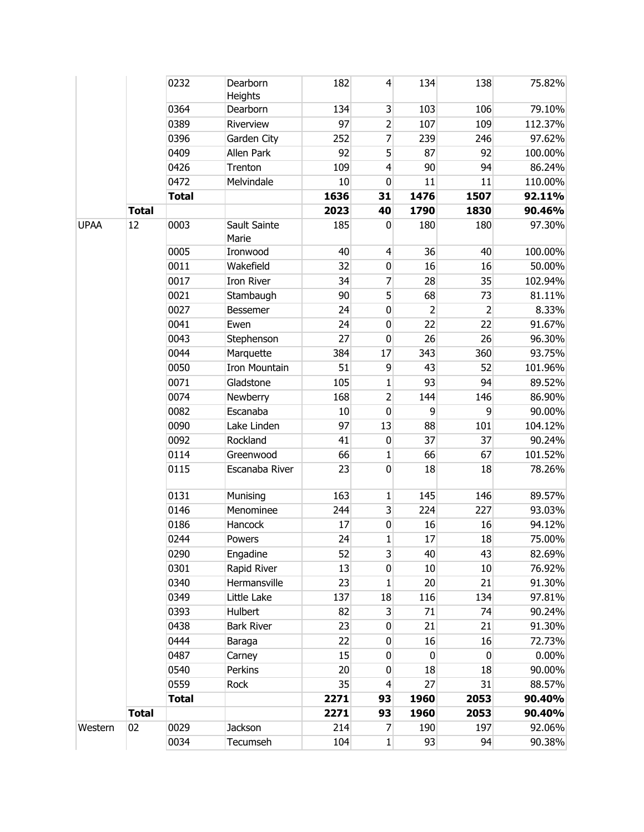|             |              | 0232         | Dearborn              | 182  | $\overline{4}$          | 134            | 138            | 75.82%  |
|-------------|--------------|--------------|-----------------------|------|-------------------------|----------------|----------------|---------|
|             |              |              | Heights               |      |                         |                |                |         |
|             |              | 0364         | Dearborn              | 134  | $\mathbf{3}$            | 103            | 106            | 79.10%  |
|             |              | 0389         | Riverview             | 97   | $\overline{2}$          | 107            | 109            | 112.37% |
|             |              | 0396         | Garden City           | 252  | $\overline{7}$          | 239            | 246            | 97.62%  |
|             |              | 0409         | Allen Park            | 92   | 5                       | 87             | 92             | 100.00% |
|             |              | 0426         | Trenton               | 109  | $\overline{4}$          | 90             | 94             | 86.24%  |
|             |              | 0472         | Melvindale            | 10   | $\pmb{0}$               | 11             | 11             | 110.00% |
|             |              | <b>Total</b> |                       | 1636 | 31                      | 1476           | 1507           | 92.11%  |
|             | <b>Total</b> |              |                       | 2023 | 40                      | 1790           | 1830           | 90.46%  |
| <b>UPAA</b> | 12           | 0003         | Sault Sainte<br>Marie | 185  | $\mathbf 0$             | 180            | 180            | 97.30%  |
|             |              | 0005         | Ironwood              | 40   | $\overline{4}$          | 36             | 40             | 100.00% |
|             |              | 0011         | Wakefield             | 32   | $\pmb{0}$               | 16             | 16             | 50.00%  |
|             |              | 0017         | Iron River            | 34   | 7                       | 28             | 35             | 102.94% |
|             |              | 0021         | Stambaugh             | 90   | 5 <sup>1</sup>          | 68             | 73             | 81.11%  |
|             |              | 0027         | <b>Bessemer</b>       | 24   | $\pmb{0}$               | $\overline{2}$ | $\overline{2}$ | 8.33%   |
|             |              | 0041         | Ewen                  | 24   | $\pmb{0}$               | 22             | 22             | 91.67%  |
|             |              | 0043         | Stephenson            | 27   | $\pmb{0}$               | 26             | 26             | 96.30%  |
|             |              | 0044         | Marquette             | 384  | 17                      | 343            | 360            | 93.75%  |
|             |              | 0050         | <b>Iron Mountain</b>  | 51   | 9                       | 43             | 52             | 101.96% |
|             |              | 0071         | Gladstone             | 105  | $\mathbf{1}$            | 93             | 94             | 89.52%  |
|             |              | 0074         | Newberry              | 168  | $\overline{2}$          | 144            | 146            | 86.90%  |
|             |              | 0082         | Escanaba              | 10   | $\pmb{0}$               | 9              | 9              | 90.00%  |
|             |              | 0090         | Lake Linden           | 97   | 13                      | 88             | 101            | 104.12% |
|             |              | 0092         | Rockland              | 41   | $\pmb{0}$               | 37             | 37             | 90.24%  |
|             |              | 0114         | Greenwood             | 66   | 1                       | 66             | 67             | 101.52% |
|             |              | 0115         | Escanaba River        | 23   | $\mathbf 0$             | 18             | 18             | 78.26%  |
|             |              | 0131         | Munising              | 163  | $\mathbf{1}$            | 145            | 146            | 89.57%  |
|             |              | 0146         | Menominee             | 244  | $\overline{\mathbf{3}}$ | 224            | 227            | 93.03%  |
|             |              | 0186         | Hancock               | 17   | $\pmb{0}$               | 16             | 16             | 94.12%  |
|             |              | 0244         | Powers                | 24   | $\mathbf{1}$            | 17             | 18             | 75.00%  |
|             |              | 0290         | Engadine              | 52   | $\overline{\mathbf{3}}$ | 40             | 43             | 82.69%  |
|             |              | 0301         | Rapid River           | 13   | 0                       | 10             | 10             | 76.92%  |
|             |              | 0340         | Hermansville          | 23   | 1                       | 20             | 21             | 91.30%  |
|             |              | 0349         | Little Lake           | 137  | 18                      | 116            | 134            | 97.81%  |
|             |              | 0393         | Hulbert               | 82   | $\mathbf{3}$            | 71             | 74             | 90.24%  |
|             |              | 0438         | <b>Bark River</b>     | 23   | 0                       | 21             | 21             | 91.30%  |
|             |              | 0444         | Baraga                | 22   | $\pmb{0}$               | 16             | 16             | 72.73%  |
|             |              | 0487         | Carney                | 15   | $\pmb{0}$               | 0              | 0              | 0.00%   |
|             |              | 0540         | Perkins               | 20   | 0                       | 18             | 18             | 90.00%  |
|             |              | 0559         | Rock                  | 35   | $\overline{4}$          | 27             | 31             | 88.57%  |
|             |              | <b>Total</b> |                       | 2271 | 93                      | 1960           | 2053           | 90.40%  |
|             | <b>Total</b> |              |                       | 2271 | 93                      | 1960           | 2053           | 90.40%  |
| Western     | 02           | 0029         | Jackson               | 214  | 7                       | 190            | 197            | 92.06%  |
|             |              | 0034         | Tecumseh              | 104  | $\mathbf{1}$            | 93             | 94             | 90.38%  |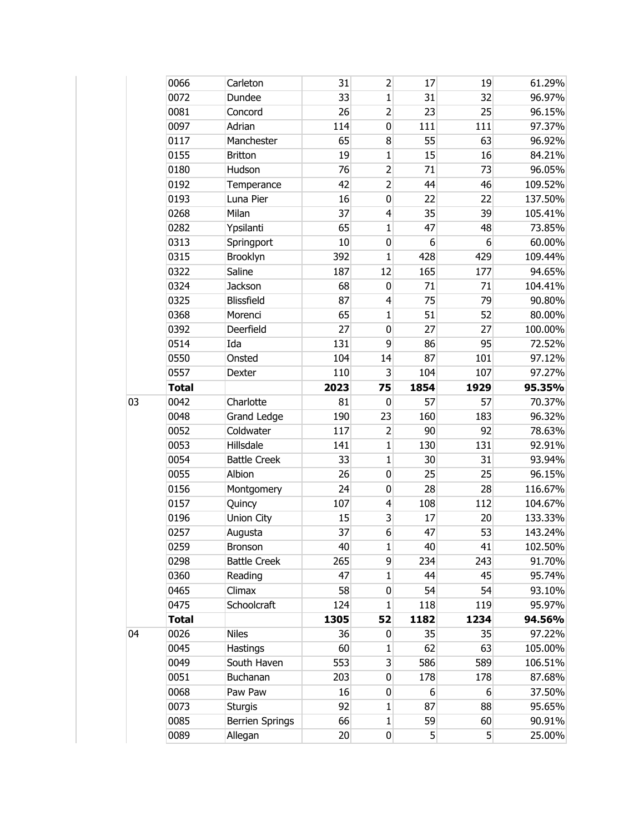|    | 0066         | Carleton               | 31   | $\overline{2}$                                 | 17   | 19               | 61.29%  |
|----|--------------|------------------------|------|------------------------------------------------|------|------------------|---------|
|    | 0072         | Dundee                 | 33   | $\mathbf{1}$                                   | 31   | 32               | 96.97%  |
|    | 0081         | Concord                | 26   | $\overline{2}$                                 | 23   | 25               | 96.15%  |
|    | 0097         | Adrian                 | 114  | $\mathbf 0$                                    | 111  | 111              | 97.37%  |
|    | 0117         | Manchester             | 65   | 8                                              | 55   | 63               | 96.92%  |
|    | 0155         | <b>Britton</b>         | 19   | $\mathbf{1}$                                   | 15   | 16               | 84.21%  |
|    | 0180         | Hudson                 | 76   | $\overline{2}$                                 | 71   | 73               | 96.05%  |
|    | 0192         | Temperance             | 42   | $\overline{2}$                                 | 44   | 46               | 109.52% |
|    | 0193         | Luna Pier              | 16   | $\mathbf 0$                                    | 22   | 22               | 137.50% |
|    | 0268         | Milan                  | 37   | $\overline{4}$                                 | 35   | 39               | 105.41% |
|    | 0282         | Ypsilanti              | 65   | $\mathbf{1}$                                   | 47   | 48               | 73.85%  |
|    | 0313         | Springport             | 10   | $\mathbf 0$                                    | 6    | 6                | 60.00%  |
|    | 0315         | Brooklyn               | 392  | $\mathbf{1}$                                   | 428  | 429              | 109.44% |
|    | 0322         | Saline                 | 187  | 12                                             | 165  | 177              | 94.65%  |
|    | 0324         | <b>Jackson</b>         | 68   | $\mathbf 0$                                    | 71   | 71               | 104.41% |
|    | 0325         | Blissfield             | 87   | 4                                              | 75   | 79               | 90.80%  |
|    | 0368         | Morenci                | 65   | $\mathbf{1}$                                   | 51   | 52               | 80.00%  |
|    | 0392         | Deerfield              | 27   | $\mathbf 0$                                    | 27   | 27               | 100.00% |
|    | 0514         | Ida                    | 131  | 9                                              | 86   | 95               | 72.52%  |
|    | 0550         | Onsted                 | 104  | 14                                             | 87   | 101              | 97.12%  |
|    | 0557         | Dexter                 | 110  | 3                                              | 104  | 107              | 97.27%  |
|    | <b>Total</b> |                        | 2023 | 75                                             | 1854 | 1929             | 95.35%  |
| 03 | 0042         | Charlotte              | 81   | $\pmb{0}$                                      | 57   | 57               | 70.37%  |
|    | 0048         | Grand Ledge            | 190  | 23                                             | 160  | 183              | 96.32%  |
|    | 0052         | Coldwater              | 117  | $\overline{2}$                                 | 90   | 92               | 78.63%  |
|    | 0053         | Hillsdale              | 141  | $\mathbf{1}$                                   | 130  | 131              | 92.91%  |
|    | 0054         | <b>Battle Creek</b>    | 33   | $\mathbf{1}$                                   | 30   | 31               | 93.94%  |
|    | 0055         | Albion                 | 26   | $\mathbf 0$                                    | 25   | 25               | 96.15%  |
|    | 0156         | Montgomery             | 24   | $\mathbf 0$                                    | 28   | 28               | 116.67% |
|    | 0157         | Quincy                 | 107  | $\overline{4}$                                 | 108  | 112              | 104.67% |
|    | 0196         | Union City             | 15   | 3                                              | 17   | 20               | 133.33% |
|    | 0257         | Augusta                | 37   | 6                                              | 47   | 53               | 143.24% |
|    | 0259         | Bronson                | 40   | $\mathbf{1}% \in\mathbb{Z}_{+}^{d}[z,\bar{z}]$ | 40   | 41               | 102.50% |
|    | 0298         | <b>Battle Creek</b>    | 265  | $\overline{9}$                                 | 234  | 243              | 91.70%  |
|    | 0360         | Reading                | 47   | $\mathbf 1$                                    | 44   | 45               | 95.74%  |
|    | 0465         | Climax                 | 58   | $\mathbf 0$                                    | 54   | 54               | 93.10%  |
|    | 0475         | Schoolcraft            | 124  | 1                                              | 118  | 119              | 95.97%  |
|    | <b>Total</b> |                        | 1305 | 52                                             | 1182 | 1234             | 94.56%  |
| 04 | 0026         | <b>Niles</b>           | 36   | 0                                              | 35   | 35               | 97.22%  |
|    | 0045         | <b>Hastings</b>        | 60   | 1                                              | 62   | 63               | 105.00% |
|    | 0049         | South Haven            | 553  | $\overline{\mathbf{3}}$                        | 586  | 589              | 106.51% |
|    | 0051         | Buchanan               | 203  | $\mathbf 0$                                    | 178  | 178              | 87.68%  |
|    | 0068         | Paw Paw                | 16   | $\mathbf 0$                                    | 6    | $6 \overline{6}$ | 37.50%  |
|    | 0073         | <b>Sturgis</b>         | 92   | 1                                              | 87   | 88               | 95.65%  |
|    | 0085         | <b>Berrien Springs</b> | 66   | $\mathbf{1}$                                   | 59   | 60               | 90.91%  |
|    | 0089         | Allegan                | 20   | $\overline{0}$                                 | 5    | 5 <sup>1</sup>   | 25.00%  |
|    |              |                        |      |                                                |      |                  |         |